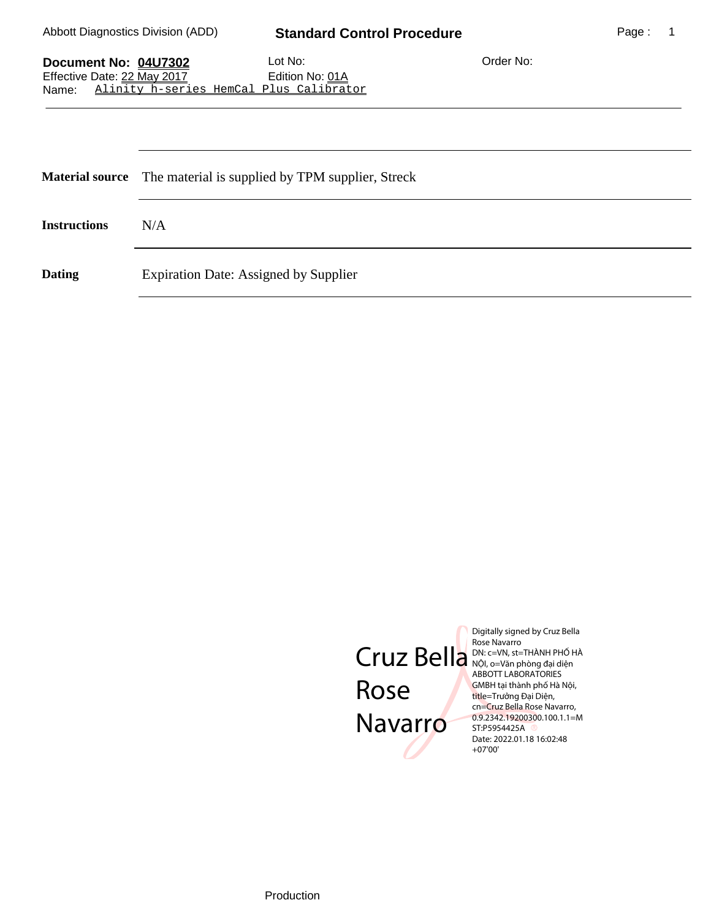## Abbott Diagnostics Division (ADD) **Standard Control Procedure**

Page: 1

| Document No: 04U7302                             | Lot No:                | Order No: |
|--------------------------------------------------|------------------------|-----------|
| Effective Date: 22 May 2017                      | Edition No: <u>01A</u> |           |
| Alinity h-series HemCal Plus Calibrator<br>Name: |                        |           |

|                     | Material source The material is supplied by TPM supplier, Streck |  |
|---------------------|------------------------------------------------------------------|--|
| <b>Instructions</b> | N/A                                                              |  |
| <b>Dating</b>       | <b>Expiration Date: Assigned by Supplier</b>                     |  |



Digitally signed by Cruz Bella NỘI, o=Văn phòng đại diện ABBOTT LABORATORIES GMBH tại thành phố Hà Nội, title=Trưởng Đại Diện, cn=Cruz Bella Rose Navarro, 0.9.2342.19200300.100.1.1=M Date: 2022.01.18 16:02:48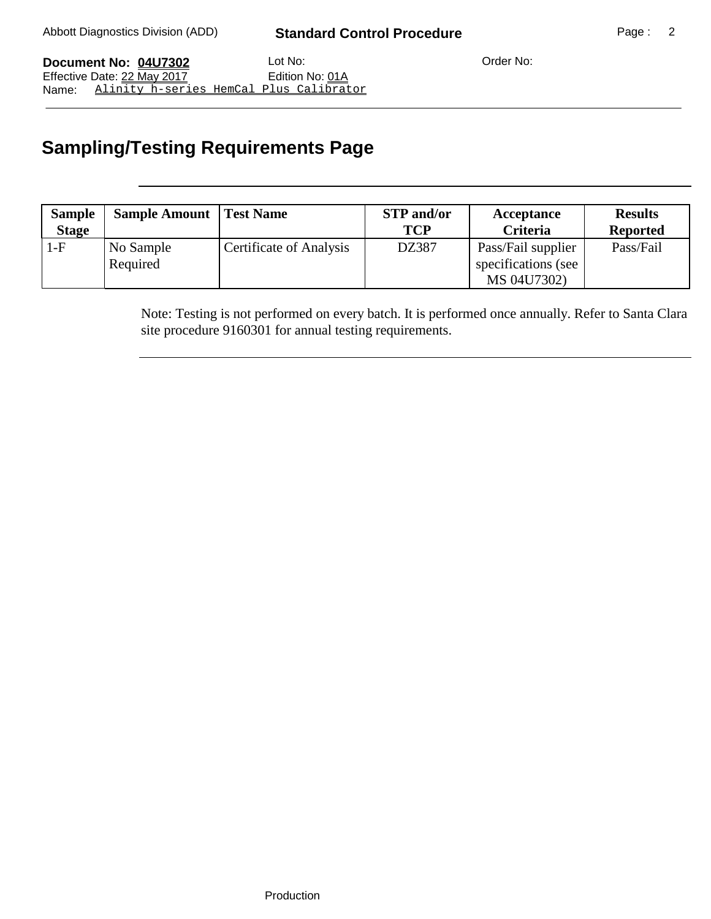**Document No: 04U7302** Lot No: Lot No: Crder No: Effective Date: 22 May 2017 Edition No: 01A Name: Alinity h-series HemCal Plus Calibrator

## **Sampling/Testing Requirements Page**

| <b>Sample</b><br><b>Stage</b> | <b>Sample Amount   Test Name</b> |                         | <b>STP</b> and/or<br><b>TCP</b> | Acceptance<br><b>Criteria</b>             | <b>Results</b><br><b>Reported</b> |
|-------------------------------|----------------------------------|-------------------------|---------------------------------|-------------------------------------------|-----------------------------------|
| 1-F                           | No Sample<br>Required            | Certificate of Analysis | DZ387                           | Pass/Fail supplier<br>specifications (see | Pass/Fail                         |
|                               |                                  |                         |                                 | MS 04U7302)                               |                                   |

Note: Testing is not performed on every batch. It is performed once annually. Refer to Santa Clara site procedure 9160301 for annual testing requirements.